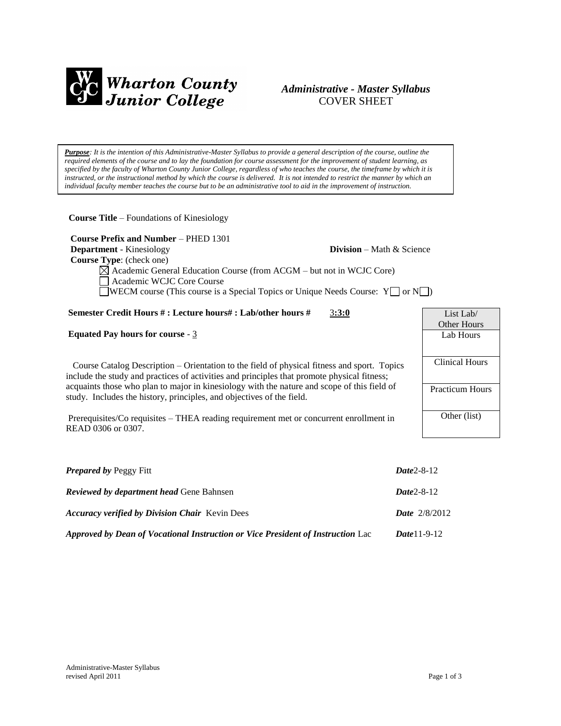

# *Administrative - Master Syllabus*  COVER SHEET

*Purpose: It is the intention of this Administrative-Master Syllabus to provide a general description of the course, outline the required elements of the course and to lay the foundation for course assessment for the improvement of student learning, as specified by the faculty of Wharton County Junior College, regardless of who teaches the course, the timeframe by which it is instructed, or the instructional method by which the course is delivered. It is not intended to restrict the manner by which an individual faculty member teaches the course but to be an administrative tool to aid in the improvement of instruction.*

**Course Title** – Foundations of Kinesiology

 **Course Prefix and Number** – PHED 1301 **Department** - Kinesiology **Division** – Math & Science  **Course Type**: (check one)  $\boxtimes$  Academic General Education Course (from ACGM – but not in WCJC Core) Academic WCJC Core Course  $\Box$ WECM course (This course is a Special Topics or Unique Needs Course: Y $\Box$  or N $\Box$ )

# **Semester Credit Hours # : Lecture hours# : Lab/other hours #** 3**:3:0**

## **Equated Pay hours for course** - 3

 Course Catalog Description – Orientation to the field of physical fitness and sport. Topics include the study and practices of activities and principles that promote physical fitness; acquaints those who plan to major in kinesiology with the nature and scope of this field of study. Includes the history, principles, and objectives of the field.

Prerequisites/Co requisites – THEA reading requirement met or concurrent enrollment in READ 0306 or 0307.

| <b>Prepared by Peggy Fitt</b>                                                   | $Date2 - 8 - 12$       |
|---------------------------------------------------------------------------------|------------------------|
| <b>Reviewed by department head Gene Bahnsen</b>                                 | $Date2 - 8 - 12$       |
| <b>Accuracy verified by Division Chair</b> Kevin Dees                           | <b>Date</b> $2/8/2012$ |
| Approved by Dean of Vocational Instruction or Vice President of Instruction Lac | <i>Date</i> 11-9-12    |

List Lab/ Other Hours Lab Hours Clinical Hours Practicum Hours Other (list)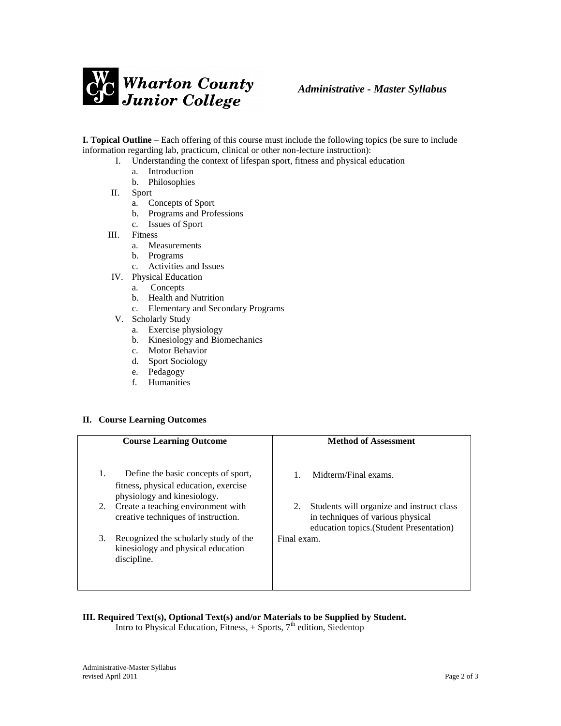

**I. Topical Outline** – Each offering of this course must include the following topics (be sure to include information regarding lab, practicum, clinical or other non-lecture instruction):

- I. Understanding the context of lifespan sport, fitness and physical education
	- a. Introduction
	- b. Philosophies
	- II. Sport
		- a. Concepts of Sport
		- b. Programs and Professions
		- c. Issues of Sport
- III. Fitness
	- a. Measurements
	- b. Programs
	- c. Activities and Issues
- IV. Physical Education
	- a. Concepts
	- b. Health and Nutrition
	- c. Elementary and Secondary Programs
- V. Scholarly Study
	- a. Exercise physiology
	- b. Kinesiology and Biomechanics
	- c. Motor Behavior
	- d. Sport Sociology
	- e. Pedagogy
	- f. Humanities

#### **II. Course Learning Outcomes**

| <b>Course Learning Outcome</b>                                                                                    | <b>Method of Assessment</b>                                                                                                      |
|-------------------------------------------------------------------------------------------------------------------|----------------------------------------------------------------------------------------------------------------------------------|
|                                                                                                                   |                                                                                                                                  |
| 1.<br>Define the basic concepts of sport,<br>fitness, physical education, exercise<br>physiology and kinesiology. | Midterm/Final exams.                                                                                                             |
| Create a teaching environment with<br>2.<br>creative techniques of instruction.                                   | Students will organize and instruct class<br>2.<br>in techniques of various physical<br>education topics. (Student Presentation) |
| Recognized the scholarly study of the<br>3.<br>kinesiology and physical education<br>discipline.                  | Final exam.                                                                                                                      |

# **III. Required Text(s), Optional Text(s) and/or Materials to be Supplied by Student.**

Intro to Physical Education, Fitness,  $+$  Sports,  $7<sup>th</sup>$  edition, Siedentop